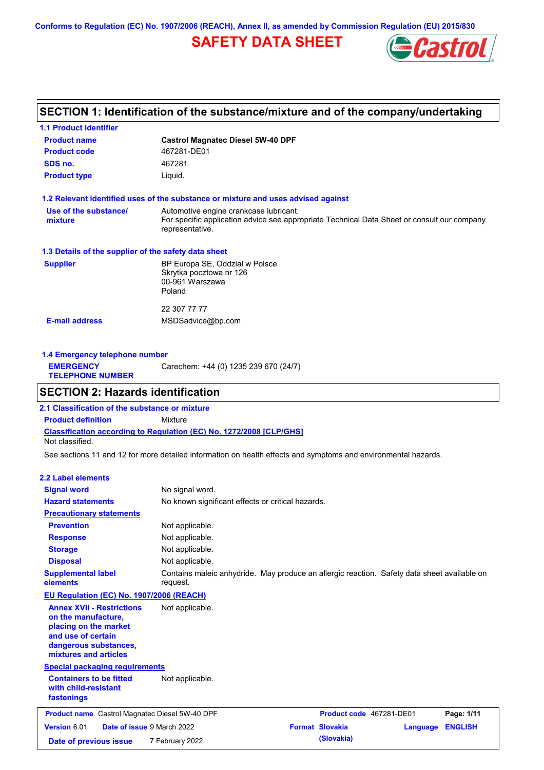**Conforms to Regulation (EC) No. 1907/2006 (REACH), Annex II, as amended by Commission Regulation (EU) 2015/830**

## **SAFETY DATA SHEET**



## **SECTION 1: Identification of the substance/mixture and of the company/undertaking**

| <b>1.1 Product identifier</b>                        |                                                                                                                                       |
|------------------------------------------------------|---------------------------------------------------------------------------------------------------------------------------------------|
| <b>Product name</b>                                  | <b>Castrol Magnatec Diesel 5W-40 DPF</b>                                                                                              |
| <b>Product code</b>                                  | 467281-DE01                                                                                                                           |
| SDS no.                                              | 467281                                                                                                                                |
| <b>Product type</b>                                  | Liquid.                                                                                                                               |
|                                                      | 1.2 Relevant identified uses of the substance or mixture and uses advised against                                                     |
| Use of the substance/<br>mixture                     | Automotive engine crankcase lubricant.<br>For specific application advice see appropriate Technical Data Sheet or consult our company |
|                                                      | representative.                                                                                                                       |
| 1.3 Details of the supplier of the safety data sheet |                                                                                                                                       |
| <b>Supplier</b>                                      | BP Europa SE, Oddział w Polsce                                                                                                        |
|                                                      | Skrytka pocztowa nr 126                                                                                                               |
|                                                      | 00-961 Warszawa<br>Poland                                                                                                             |
|                                                      |                                                                                                                                       |
|                                                      | 22 307 77 77                                                                                                                          |
| <b>E-mail address</b>                                | MSDSadvice@bp.com                                                                                                                     |
|                                                      |                                                                                                                                       |
|                                                      |                                                                                                                                       |

| 1.4 Emergency telephone number              |                                       |  |  |
|---------------------------------------------|---------------------------------------|--|--|
| <b>EMERGENCY</b><br><b>TELEPHONE NUMBER</b> | Carechem: +44 (0) 1235 239 670 (24/7) |  |  |

### **SECTION 2: Hazards identification**

**Classification according to Regulation (EC) No. 1272/2008 [CLP/GHS] 2.1 Classification of the substance or mixture Product definition** Mixture Not classified.

See sections 11 and 12 for more detailed information on health effects and symptoms and environmental hazards.

#### **2.2 Label elements**

| <b>Signal word</b>                                                                                                                                       | No signal word.                                                                                         |  |                          |          |                |
|----------------------------------------------------------------------------------------------------------------------------------------------------------|---------------------------------------------------------------------------------------------------------|--|--------------------------|----------|----------------|
| <b>Hazard statements</b>                                                                                                                                 | No known significant effects or critical hazards.                                                       |  |                          |          |                |
| <b>Precautionary statements</b>                                                                                                                          |                                                                                                         |  |                          |          |                |
| <b>Prevention</b>                                                                                                                                        | Not applicable.                                                                                         |  |                          |          |                |
| <b>Response</b>                                                                                                                                          | Not applicable.                                                                                         |  |                          |          |                |
| <b>Storage</b>                                                                                                                                           | Not applicable.                                                                                         |  |                          |          |                |
| <b>Disposal</b>                                                                                                                                          | Not applicable.                                                                                         |  |                          |          |                |
| <b>Supplemental label</b><br>elements                                                                                                                    | Contains maleic anhydride. May produce an allergic reaction. Safety data sheet available on<br>request. |  |                          |          |                |
| <b>EU Regulation (EC) No. 1907/2006 (REACH)</b>                                                                                                          |                                                                                                         |  |                          |          |                |
| <b>Annex XVII - Restrictions</b><br>on the manufacture,<br>placing on the market<br>and use of certain<br>dangerous substances,<br>mixtures and articles | Not applicable.                                                                                         |  |                          |          |                |
| <b>Special packaging requirements</b>                                                                                                                    |                                                                                                         |  |                          |          |                |
| <b>Containers to be fitted</b><br>with child-resistant<br>fastenings                                                                                     | Not applicable.                                                                                         |  |                          |          |                |
| <b>Product name</b> Castrol Magnatec Diesel 5W-40 DPF                                                                                                    |                                                                                                         |  | Product code 467281-DE01 |          | Page: 1/11     |
| Version 6.01<br><b>Date of issue 9 March 2022</b>                                                                                                        |                                                                                                         |  | <b>Format Slovakia</b>   | Language | <b>ENGLISH</b> |
| Date of previous issue                                                                                                                                   | 7 February 2022.                                                                                        |  | (Slovakia)               |          |                |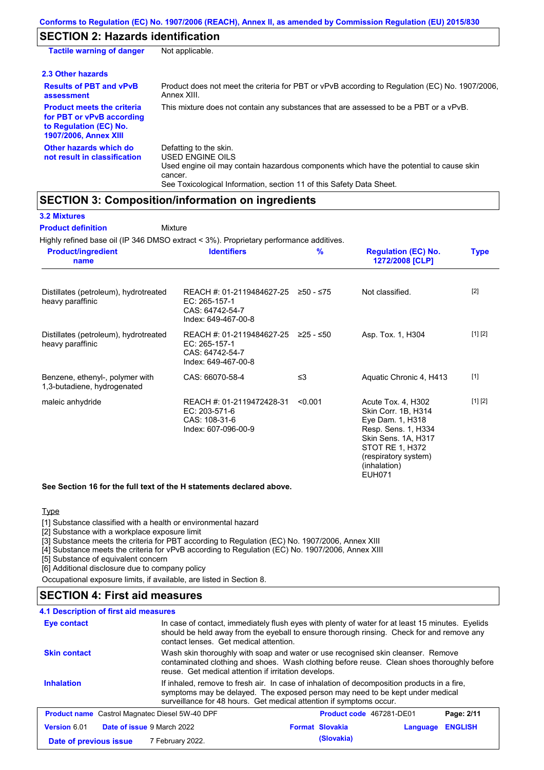## **SECTION 2: Hazards identification**

| <b>Tactile warning of danger</b>                                                                                         | Not applicable.                                                                                                                                                                                                          |
|--------------------------------------------------------------------------------------------------------------------------|--------------------------------------------------------------------------------------------------------------------------------------------------------------------------------------------------------------------------|
| 2.3 Other hazards                                                                                                        |                                                                                                                                                                                                                          |
| <b>Results of PBT and vPvB</b><br>assessment                                                                             | Product does not meet the criteria for PBT or vPvB according to Regulation (EC) No. 1907/2006,<br>Annex XIII.                                                                                                            |
| <b>Product meets the criteria</b><br>for PBT or vPvB according<br>to Regulation (EC) No.<br><b>1907/2006, Annex XIII</b> | This mixture does not contain any substances that are assessed to be a PBT or a vPvB.                                                                                                                                    |
| Other hazards which do<br>not result in classification                                                                   | Defatting to the skin.<br>USED ENGINE OILS<br>Used engine oil may contain hazardous components which have the potential to cause skin<br>cancer.<br>See Toxicological Information, section 11 of this Safety Data Sheet. |

### **SECTION 3: Composition/information on ingredients**

| <b>3.2 Mixtures</b>                                                                    |                                                                                      |             |                                                                                                                                                                                         |             |
|----------------------------------------------------------------------------------------|--------------------------------------------------------------------------------------|-------------|-----------------------------------------------------------------------------------------------------------------------------------------------------------------------------------------|-------------|
| <b>Product definition</b>                                                              | Mixture                                                                              |             |                                                                                                                                                                                         |             |
| Highly refined base oil (IP 346 DMSO extract < 3%). Proprietary performance additives. |                                                                                      |             |                                                                                                                                                                                         |             |
| <b>Product/ingredient</b><br>name                                                      | <b>Identifiers</b>                                                                   | %           | <b>Regulation (EC) No.</b><br>1272/2008 [CLP]                                                                                                                                           | <b>Type</b> |
| Distillates (petroleum), hydrotreated<br>heavy paraffinic                              | REACH #: 01-2119484627-25<br>EC: 265-157-1<br>CAS: 64742-54-7<br>Index: 649-467-00-8 | ≥50 - ≤75   | Not classified.                                                                                                                                                                         | $[2]$       |
| Distillates (petroleum), hydrotreated<br>heavy paraffinic                              | REACH #: 01-2119484627-25<br>EC: 265-157-1<br>CAS: 64742-54-7<br>Index: 649-467-00-8 | $≥25 - ≤50$ | Asp. Tox. 1, H304                                                                                                                                                                       | [1] [2]     |
| Benzene, ethenyl-, polymer with<br>1,3-butadiene, hydrogenated                         | CAS: 66070-58-4                                                                      | $\leq$ 3    | Aquatic Chronic 4, H413                                                                                                                                                                 | $[1]$       |
| maleic anhydride                                                                       | REACH #: 01-2119472428-31<br>EC: 203-571-6<br>CAS: 108-31-6<br>Index: 607-096-00-9   | < 0.001     | Acute Tox. 4, H302<br>Skin Corr. 1B, H314<br>Eye Dam. 1, H318<br>Resp. Sens. 1, H334<br>Skin Sens. 1A, H317<br>STOT RE 1, H372<br>(respiratory system)<br>(inhalation)<br><b>EUH071</b> | [1] [2]     |

**See Section 16 for the full text of the H statements declared above.**

#### **Type**

[1] Substance classified with a health or environmental hazard

[2] Substance with a workplace exposure limit

[3] Substance meets the criteria for PBT according to Regulation (EC) No. 1907/2006, Annex XIII

[4] Substance meets the criteria for vPvB according to Regulation (EC) No. 1907/2006, Annex XIII

[5] Substance of equivalent concern

[6] Additional disclosure due to company policy

Occupational exposure limits, if available, are listed in Section 8.

### **SECTION 4: First aid measures**

| 4.1 Description of first aid measures                 |                                                                                                                                                                                                                                                     |                        |                          |                |
|-------------------------------------------------------|-----------------------------------------------------------------------------------------------------------------------------------------------------------------------------------------------------------------------------------------------------|------------------------|--------------------------|----------------|
| <b>Eye contact</b>                                    | In case of contact, immediately flush eyes with plenty of water for at least 15 minutes. Eyelids<br>should be held away from the eyeball to ensure thorough rinsing. Check for and remove any<br>contact lenses. Get medical attention.             |                        |                          |                |
| <b>Skin contact</b>                                   | Wash skin thoroughly with soap and water or use recognised skin cleanser. Remove<br>contaminated clothing and shoes. Wash clothing before reuse. Clean shoes thoroughly before<br>reuse. Get medical attention if irritation develops.              |                        |                          |                |
| <b>Inhalation</b>                                     | If inhaled, remove to fresh air. In case of inhalation of decomposition products in a fire,<br>symptoms may be delayed. The exposed person may need to be kept under medical<br>surveillance for 48 hours. Get medical attention if symptoms occur. |                        |                          |                |
| <b>Product name</b> Castrol Magnatec Diesel 5W-40 DPF |                                                                                                                                                                                                                                                     |                        | Product code 467281-DE01 | Page: 2/11     |
| Version 6.01<br><b>Date of issue 9 March 2022</b>     |                                                                                                                                                                                                                                                     | <b>Format Slovakia</b> | Language                 | <b>ENGLISH</b> |
| Date of previous issue                                | 7 February 2022.                                                                                                                                                                                                                                    | (Slovakia)             |                          |                |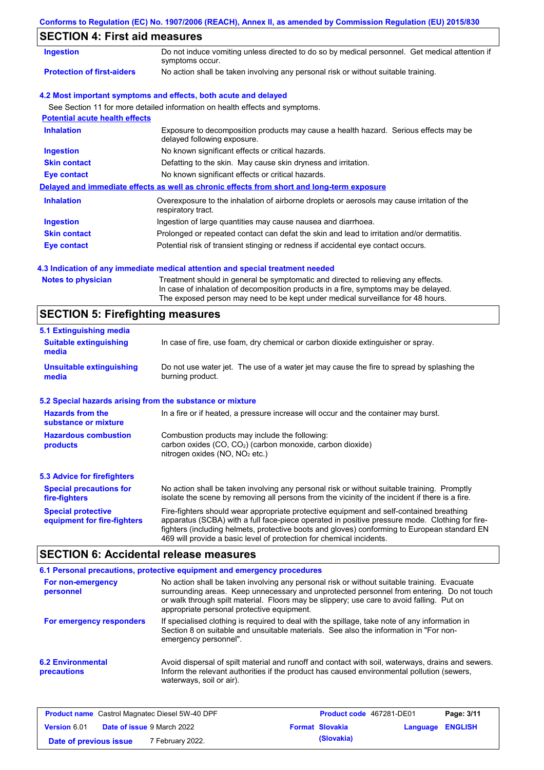### **Conforms to Regulation (EC) No. 1907/2006 (REACH), Annex II, as amended by Commission Regulation (EU) 2015/830**

## **SECTION 4: First aid measures**

| <b>Ingestion</b>                      | Do not induce vomiting unless directed to do so by medical personnel. Get medical attention if<br>symptoms occur.   |  |  |  |  |
|---------------------------------------|---------------------------------------------------------------------------------------------------------------------|--|--|--|--|
| <b>Protection of first-aiders</b>     | No action shall be taken involving any personal risk or without suitable training.                                  |  |  |  |  |
|                                       | 4.2 Most important symptoms and effects, both acute and delayed                                                     |  |  |  |  |
|                                       | See Section 11 for more detailed information on health effects and symptoms.                                        |  |  |  |  |
| <b>Potential acute health effects</b> |                                                                                                                     |  |  |  |  |
| <b>Inhalation</b>                     | Exposure to decomposition products may cause a health hazard. Serious effects may be<br>delayed following exposure. |  |  |  |  |
| <b>Ingestion</b>                      | No known significant effects or critical hazards.                                                                   |  |  |  |  |
| <b>Skin contact</b>                   | Defatting to the skin. May cause skin dryness and irritation.                                                       |  |  |  |  |
| Eye contact                           | No known significant effects or critical hazards.                                                                   |  |  |  |  |
|                                       | Delayed and immediate effects as well as chronic effects from short and long-term exposure                          |  |  |  |  |
| <b>Inhalation</b>                     | Overexposure to the inhalation of airborne droplets or aerosols may cause irritation of the<br>respiratory tract.   |  |  |  |  |
| <b>Ingestion</b>                      | Ingestion of large quantities may cause nausea and diarrhoea.                                                       |  |  |  |  |
| <b>Skin contact</b>                   | Prolonged or repeated contact can defat the skin and lead to irritation and/or dermatitis.                          |  |  |  |  |
| Eye contact                           | Potential risk of transient stinging or redness if accidental eye contact occurs.                                   |  |  |  |  |

### **4.3 Indication of any immediate medical attention and special treatment needed**

| <b>Notes to physician</b> | Treatment should in general be symptomatic and directed to relieving any effects.   |
|---------------------------|-------------------------------------------------------------------------------------|
|                           | In case of inhalation of decomposition products in a fire, symptoms may be delayed. |
|                           | The exposed person may need to be kept under medical surveillance for 48 hours.     |

# **SECTION 5: Firefighting measures**

| 5.1 Extinguishing media                                                                                                                                                                                     |                                                                                                                                                                                                                                                                                                                                                                   |  |  |
|-------------------------------------------------------------------------------------------------------------------------------------------------------------------------------------------------------------|-------------------------------------------------------------------------------------------------------------------------------------------------------------------------------------------------------------------------------------------------------------------------------------------------------------------------------------------------------------------|--|--|
| <b>Suitable extinguishing</b><br>media                                                                                                                                                                      | In case of fire, use foam, dry chemical or carbon dioxide extinguisher or spray.                                                                                                                                                                                                                                                                                  |  |  |
| <b>Unsuitable extinguishing</b><br>media                                                                                                                                                                    | Do not use water jet. The use of a water jet may cause the fire to spread by splashing the<br>burning product.                                                                                                                                                                                                                                                    |  |  |
| 5.2 Special hazards arising from the substance or mixture                                                                                                                                                   |                                                                                                                                                                                                                                                                                                                                                                   |  |  |
| <b>Hazards from the</b><br>substance or mixture                                                                                                                                                             | In a fire or if heated, a pressure increase will occur and the container may burst.                                                                                                                                                                                                                                                                               |  |  |
| Combustion products may include the following:<br><b>Hazardous combustion</b><br>carbon oxides (CO, CO <sub>2</sub> ) (carbon monoxide, carbon dioxide)<br>products<br>nitrogen oxides ( $NO$ , $NO2$ etc.) |                                                                                                                                                                                                                                                                                                                                                                   |  |  |
| <b>5.3 Advice for firefighters</b>                                                                                                                                                                          |                                                                                                                                                                                                                                                                                                                                                                   |  |  |
| <b>Special precautions for</b><br>fire-fighters                                                                                                                                                             | No action shall be taken involving any personal risk or without suitable training. Promptly<br>isolate the scene by removing all persons from the vicinity of the incident if there is a fire.                                                                                                                                                                    |  |  |
| <b>Special protective</b><br>equipment for fire-fighters                                                                                                                                                    | Fire-fighters should wear appropriate protective equipment and self-contained breathing<br>apparatus (SCBA) with a full face-piece operated in positive pressure mode. Clothing for fire-<br>fighters (including helmets, protective boots and gloves) conforming to European standard EN<br>469 will provide a basic level of protection for chemical incidents. |  |  |

# **SECTION 6: Accidental release measures**

|                                         | 6.1 Personal precautions, protective equipment and emergency procedures                                                                                                                                                                                                                                                             |
|-----------------------------------------|-------------------------------------------------------------------------------------------------------------------------------------------------------------------------------------------------------------------------------------------------------------------------------------------------------------------------------------|
| For non-emergency<br>personnel          | No action shall be taken involving any personal risk or without suitable training. Evacuate<br>surrounding areas. Keep unnecessary and unprotected personnel from entering. Do not touch<br>or walk through spilt material. Floors may be slippery; use care to avoid falling. Put on<br>appropriate personal protective equipment. |
| For emergency responders                | If specialised clothing is required to deal with the spillage, take note of any information in<br>Section 8 on suitable and unsuitable materials. See also the information in "For non-<br>emergency personnel".                                                                                                                    |
| <b>6.2 Environmental</b><br>precautions | Avoid dispersal of spilt material and runoff and contact with soil, waterways, drains and sewers.<br>Inform the relevant authorities if the product has caused environmental pollution (sewers,<br>waterways, soil or air).                                                                                                         |

| <b>Product name</b> Castrol Magnatec Diesel 5W-40 DPF |  | Product code 467281-DE01          |  | Page: 3/11             |                         |  |
|-------------------------------------------------------|--|-----------------------------------|--|------------------------|-------------------------|--|
| Version 6.01                                          |  | <b>Date of issue 9 March 2022</b> |  | <b>Format Slovakia</b> | <b>Language ENGLISH</b> |  |
| Date of previous issue                                |  | <sup>7</sup> February 2022.       |  | (Slovakia)             |                         |  |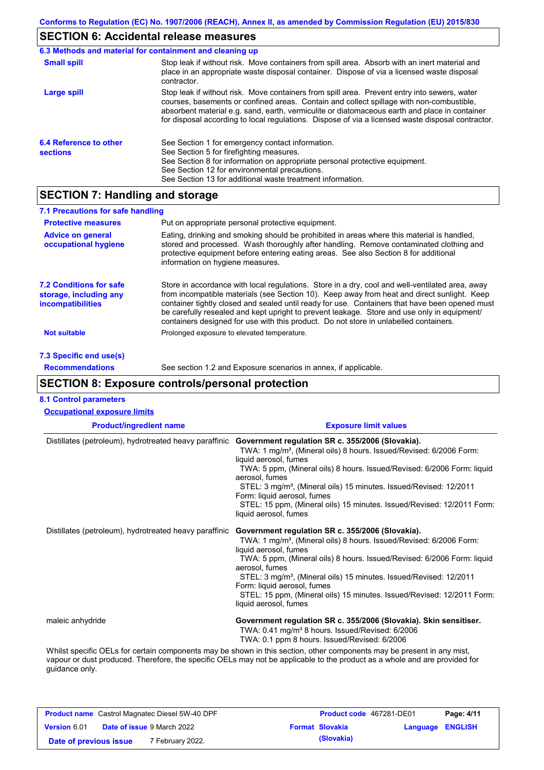# **SECTION 6: Accidental release measures**

| 6.3 Methods and material for containment and cleaning up |                                                                                                                                                                                                                                                                                                                                                                                                |
|----------------------------------------------------------|------------------------------------------------------------------------------------------------------------------------------------------------------------------------------------------------------------------------------------------------------------------------------------------------------------------------------------------------------------------------------------------------|
| <b>Small spill</b>                                       | Stop leak if without risk. Move containers from spill area. Absorb with an inert material and<br>place in an appropriate waste disposal container. Dispose of via a licensed waste disposal<br>contractor.                                                                                                                                                                                     |
| Large spill                                              | Stop leak if without risk. Move containers from spill area. Prevent entry into sewers, water<br>courses, basements or confined areas. Contain and collect spillage with non-combustible,<br>absorbent material e.g. sand, earth, vermiculite or diatomaceous earth and place in container<br>for disposal according to local regulations. Dispose of via a licensed waste disposal contractor. |
| 6.4 Reference to other<br><b>sections</b>                | See Section 1 for emergency contact information.<br>See Section 5 for firefighting measures.<br>See Section 8 for information on appropriate personal protective equipment.<br>See Section 12 for environmental precautions.<br>See Section 13 for additional waste treatment information.                                                                                                     |

## **SECTION 7: Handling and storage**

| 7.1 Precautions for safe handling                                                    |                                                                                                                                                                                                                                                                                                                                                                                                                                                                                          |
|--------------------------------------------------------------------------------------|------------------------------------------------------------------------------------------------------------------------------------------------------------------------------------------------------------------------------------------------------------------------------------------------------------------------------------------------------------------------------------------------------------------------------------------------------------------------------------------|
| <b>Protective measures</b>                                                           | Put on appropriate personal protective equipment.                                                                                                                                                                                                                                                                                                                                                                                                                                        |
| <b>Advice on general</b><br>occupational hygiene                                     | Eating, drinking and smoking should be prohibited in areas where this material is handled,<br>stored and processed. Wash thoroughly after handling. Remove contaminated clothing and<br>protective equipment before entering eating areas. See also Section 8 for additional<br>information on hygiene measures.                                                                                                                                                                         |
| <b>7.2 Conditions for safe</b><br>storage, including any<br><i>incompatibilities</i> | Store in accordance with local regulations. Store in a dry, cool and well-ventilated area, away<br>from incompatible materials (see Section 10). Keep away from heat and direct sunlight. Keep<br>container tightly closed and sealed until ready for use. Containers that have been opened must<br>be carefully resealed and kept upright to prevent leakage. Store and use only in equipment/<br>containers designed for use with this product. Do not store in unlabelled containers. |
| <b>Not suitable</b>                                                                  | Prolonged exposure to elevated temperature.                                                                                                                                                                                                                                                                                                                                                                                                                                              |
| 7.3 Specific end use(s)                                                              |                                                                                                                                                                                                                                                                                                                                                                                                                                                                                          |
| <b>Recommendations</b>                                                               | See section 1.2 and Exposure scenarios in annex, if applicable.                                                                                                                                                                                                                                                                                                                                                                                                                          |

# **SECTION 8: Exposure controls/personal protection**

| <b>Product/ingredient name</b>                         | <b>Exposure limit values</b>                                                                                                                                                                                                                                                                                                                                                                                                                                                  |
|--------------------------------------------------------|-------------------------------------------------------------------------------------------------------------------------------------------------------------------------------------------------------------------------------------------------------------------------------------------------------------------------------------------------------------------------------------------------------------------------------------------------------------------------------|
| Distillates (petroleum), hydrotreated heavy paraffinic | Government regulation SR c. 355/2006 (Slovakia).<br>TWA: 1 mg/m <sup>3</sup> , (Mineral oils) 8 hours. Issued/Revised: 6/2006 Form:<br>liquid aerosol, fumes<br>TWA: 5 ppm, (Mineral oils) 8 hours. Issued/Revised: 6/2006 Form: liquid<br>aerosol, fumes<br>STEL: 3 mg/m <sup>3</sup> , (Mineral oils) 15 minutes. Issued/Revised: 12/2011<br>Form: liquid aerosol, fumes<br>STEL: 15 ppm, (Mineral oils) 15 minutes. Issued/Revised: 12/2011 Form:<br>liquid aerosol, fumes |
| Distillates (petroleum), hydrotreated heavy paraffinic | Government regulation SR c. 355/2006 (Slovakia).<br>TWA: 1 mg/m <sup>3</sup> , (Mineral oils) 8 hours. Issued/Revised: 6/2006 Form:<br>liquid aerosol, fumes<br>TWA: 5 ppm, (Mineral oils) 8 hours. Issued/Revised: 6/2006 Form: liquid<br>aerosol. fumes<br>STEL: 3 mg/m <sup>3</sup> , (Mineral oils) 15 minutes. Issued/Revised: 12/2011<br>Form: liquid aerosol, fumes<br>STEL: 15 ppm, (Mineral oils) 15 minutes. Issued/Revised: 12/2011 Form:<br>liquid aerosol, fumes |
| maleic anhydride                                       | Government regulation SR c. 355/2006 (Slovakia). Skin sensitiser.<br>TWA: 0.41 mg/m <sup>3</sup> 8 hours. Issued/Revised: 6/2006<br>TWA: 0.1 ppm 8 hours. Issued/Revised: 6/2006                                                                                                                                                                                                                                                                                              |
| guidance only.                                         | Whilst specific OELs for certain components may be shown in this section, other components may be present in any mist,<br>vapour or dust produced. Therefore, the specific OELs may not be applicable to the product as a whole and are provided for                                                                                                                                                                                                                          |

|                        | <b>Product name</b> Castrol Magnatec Diesel 5W-40 DPF | <b>Product code</b> 467281-DE01 |                         | Page: 4/11 |
|------------------------|-------------------------------------------------------|---------------------------------|-------------------------|------------|
| <b>Version 6.01</b>    | <b>Date of issue 9 March 2022</b>                     | <b>Format Slovakia</b>          | <b>Language ENGLISH</b> |            |
| Date of previous issue | <sup>7</sup> February 2022.                           | (Slovakia)                      |                         |            |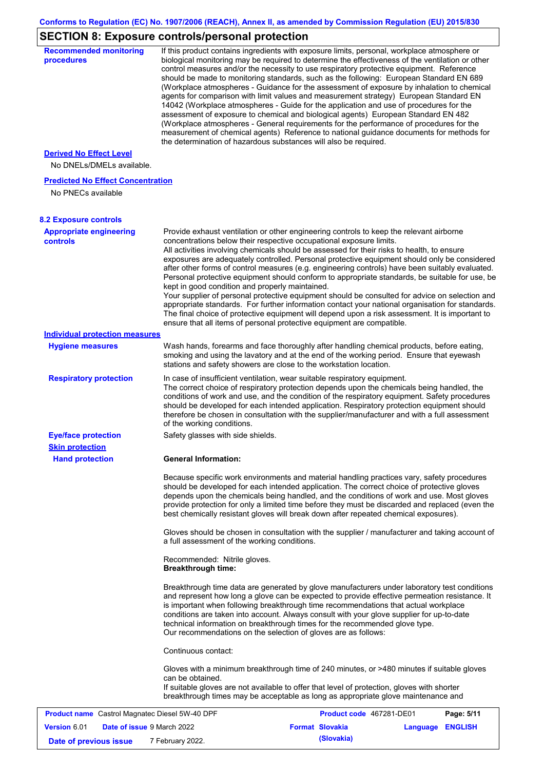# **SECTION 8: Exposure controls/personal protection**

| <b>Recommended monitoring</b><br><b>procedures</b>             | If this product contains ingredients with exposure limits, personal, workplace atmosphere or<br>biological monitoring may be required to determine the effectiveness of the ventilation or other<br>control measures and/or the necessity to use respiratory protective equipment. Reference                                                                                                                                                                                                                                                                                                                                                                                                                                                                                                                                                                                                                                                                                                            |                          |          |                |
|----------------------------------------------------------------|---------------------------------------------------------------------------------------------------------------------------------------------------------------------------------------------------------------------------------------------------------------------------------------------------------------------------------------------------------------------------------------------------------------------------------------------------------------------------------------------------------------------------------------------------------------------------------------------------------------------------------------------------------------------------------------------------------------------------------------------------------------------------------------------------------------------------------------------------------------------------------------------------------------------------------------------------------------------------------------------------------|--------------------------|----------|----------------|
|                                                                | should be made to monitoring standards, such as the following: European Standard EN 689<br>(Workplace atmospheres - Guidance for the assessment of exposure by inhalation to chemical<br>agents for comparison with limit values and measurement strategy) European Standard EN<br>14042 (Workplace atmospheres - Guide for the application and use of procedures for the<br>assessment of exposure to chemical and biological agents) European Standard EN 482<br>(Workplace atmospheres - General requirements for the performance of procedures for the<br>measurement of chemical agents) Reference to national guidance documents for methods for<br>the determination of hazardous substances will also be required.                                                                                                                                                                                                                                                                              |                          |          |                |
| <b>Derived No Effect Level</b>                                 |                                                                                                                                                                                                                                                                                                                                                                                                                                                                                                                                                                                                                                                                                                                                                                                                                                                                                                                                                                                                         |                          |          |                |
| No DNELs/DMELs available.                                      |                                                                                                                                                                                                                                                                                                                                                                                                                                                                                                                                                                                                                                                                                                                                                                                                                                                                                                                                                                                                         |                          |          |                |
| <b>Predicted No Effect Concentration</b><br>No PNECs available |                                                                                                                                                                                                                                                                                                                                                                                                                                                                                                                                                                                                                                                                                                                                                                                                                                                                                                                                                                                                         |                          |          |                |
| <b>8.2 Exposure controls</b>                                   |                                                                                                                                                                                                                                                                                                                                                                                                                                                                                                                                                                                                                                                                                                                                                                                                                                                                                                                                                                                                         |                          |          |                |
| <b>Appropriate engineering</b><br><b>controls</b>              | Provide exhaust ventilation or other engineering controls to keep the relevant airborne<br>concentrations below their respective occupational exposure limits.<br>All activities involving chemicals should be assessed for their risks to health, to ensure<br>exposures are adequately controlled. Personal protective equipment should only be considered<br>after other forms of control measures (e.g. engineering controls) have been suitably evaluated.<br>Personal protective equipment should conform to appropriate standards, be suitable for use, be<br>kept in good condition and properly maintained.<br>Your supplier of personal protective equipment should be consulted for advice on selection and<br>appropriate standards. For further information contact your national organisation for standards.<br>The final choice of protective equipment will depend upon a risk assessment. It is important to<br>ensure that all items of personal protective equipment are compatible. |                          |          |                |
| <b>Individual protection measures</b>                          |                                                                                                                                                                                                                                                                                                                                                                                                                                                                                                                                                                                                                                                                                                                                                                                                                                                                                                                                                                                                         |                          |          |                |
| <b>Hygiene measures</b>                                        | Wash hands, forearms and face thoroughly after handling chemical products, before eating,<br>smoking and using the lavatory and at the end of the working period. Ensure that eyewash<br>stations and safety showers are close to the workstation location.                                                                                                                                                                                                                                                                                                                                                                                                                                                                                                                                                                                                                                                                                                                                             |                          |          |                |
| <b>Respiratory protection</b>                                  | In case of insufficient ventilation, wear suitable respiratory equipment.<br>The correct choice of respiratory protection depends upon the chemicals being handled, the<br>conditions of work and use, and the condition of the respiratory equipment. Safety procedures<br>should be developed for each intended application. Respiratory protection equipment should<br>therefore be chosen in consultation with the supplier/manufacturer and with a full assessment<br>of the working conditions.                                                                                                                                                                                                                                                                                                                                                                                                                                                                                                   |                          |          |                |
| <b>Eye/face protection</b>                                     | Safety glasses with side shields.                                                                                                                                                                                                                                                                                                                                                                                                                                                                                                                                                                                                                                                                                                                                                                                                                                                                                                                                                                       |                          |          |                |
| <b>Skin protection</b>                                         |                                                                                                                                                                                                                                                                                                                                                                                                                                                                                                                                                                                                                                                                                                                                                                                                                                                                                                                                                                                                         |                          |          |                |
| <b>Hand protection</b>                                         | General Information:                                                                                                                                                                                                                                                                                                                                                                                                                                                                                                                                                                                                                                                                                                                                                                                                                                                                                                                                                                                    |                          |          |                |
|                                                                | Because specific work environments and material handling practices vary, safety procedures<br>should be developed for each intended application. The correct choice of protective gloves<br>depends upon the chemicals being handled, and the conditions of work and use. Most gloves<br>provide protection for only a limited time before they must be discarded and replaced (even the<br>best chemically resistant gloves will break down after repeated chemical exposures).                                                                                                                                                                                                                                                                                                                                                                                                                                                                                                                        |                          |          |                |
|                                                                | Gloves should be chosen in consultation with the supplier / manufacturer and taking account of<br>a full assessment of the working conditions.                                                                                                                                                                                                                                                                                                                                                                                                                                                                                                                                                                                                                                                                                                                                                                                                                                                          |                          |          |                |
|                                                                | Recommended: Nitrile gloves.<br><b>Breakthrough time:</b>                                                                                                                                                                                                                                                                                                                                                                                                                                                                                                                                                                                                                                                                                                                                                                                                                                                                                                                                               |                          |          |                |
|                                                                | Breakthrough time data are generated by glove manufacturers under laboratory test conditions<br>and represent how long a glove can be expected to provide effective permeation resistance. It<br>is important when following breakthrough time recommendations that actual workplace<br>conditions are taken into account. Always consult with your glove supplier for up-to-date<br>technical information on breakthrough times for the recommended glove type.<br>Our recommendations on the selection of gloves are as follows:                                                                                                                                                                                                                                                                                                                                                                                                                                                                      |                          |          |                |
|                                                                | Continuous contact:                                                                                                                                                                                                                                                                                                                                                                                                                                                                                                                                                                                                                                                                                                                                                                                                                                                                                                                                                                                     |                          |          |                |
|                                                                | Gloves with a minimum breakthrough time of 240 minutes, or >480 minutes if suitable gloves<br>can be obtained.<br>If suitable gloves are not available to offer that level of protection, gloves with shorter<br>breakthrough times may be acceptable as long as appropriate glove maintenance and                                                                                                                                                                                                                                                                                                                                                                                                                                                                                                                                                                                                                                                                                                      |                          |          |                |
| <b>Product name</b> Castrol Magnatec Diesel 5W-40 DPF          |                                                                                                                                                                                                                                                                                                                                                                                                                                                                                                                                                                                                                                                                                                                                                                                                                                                                                                                                                                                                         | Product code 467281-DE01 |          | Page: 5/11     |
| <b>Version 6.01</b><br>Date of issue 9 March 2022              |                                                                                                                                                                                                                                                                                                                                                                                                                                                                                                                                                                                                                                                                                                                                                                                                                                                                                                                                                                                                         | <b>Format Slovakia</b>   | Language | <b>ENGLISH</b> |

**Date of previous issue** 7 February 2022.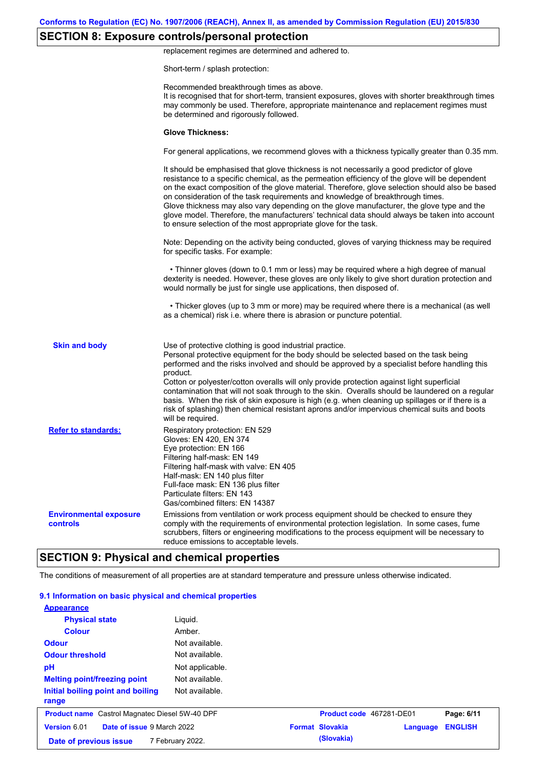## **SECTION 8: Exposure controls/personal protection**

replacement regimes are determined and adhered to.

Short-term / splash protection:

|                                           | Recommended breakthrough times as above.<br>It is recognised that for short-term, transient exposures, gloves with shorter breakthrough times<br>may commonly be used. Therefore, appropriate maintenance and replacement regimes must<br>be determined and rigorously followed.                                                                                                                                                                                                                                                                                                                                                                                                      |
|-------------------------------------------|---------------------------------------------------------------------------------------------------------------------------------------------------------------------------------------------------------------------------------------------------------------------------------------------------------------------------------------------------------------------------------------------------------------------------------------------------------------------------------------------------------------------------------------------------------------------------------------------------------------------------------------------------------------------------------------|
|                                           | <b>Glove Thickness:</b>                                                                                                                                                                                                                                                                                                                                                                                                                                                                                                                                                                                                                                                               |
|                                           | For general applications, we recommend gloves with a thickness typically greater than 0.35 mm.                                                                                                                                                                                                                                                                                                                                                                                                                                                                                                                                                                                        |
|                                           | It should be emphasised that glove thickness is not necessarily a good predictor of glove<br>resistance to a specific chemical, as the permeation efficiency of the glove will be dependent<br>on the exact composition of the glove material. Therefore, glove selection should also be based<br>on consideration of the task requirements and knowledge of breakthrough times.<br>Glove thickness may also vary depending on the glove manufacturer, the glove type and the<br>glove model. Therefore, the manufacturers' technical data should always be taken into account<br>to ensure selection of the most appropriate glove for the task.                                     |
|                                           | Note: Depending on the activity being conducted, gloves of varying thickness may be required<br>for specific tasks. For example:                                                                                                                                                                                                                                                                                                                                                                                                                                                                                                                                                      |
|                                           | • Thinner gloves (down to 0.1 mm or less) may be required where a high degree of manual<br>dexterity is needed. However, these gloves are only likely to give short duration protection and<br>would normally be just for single use applications, then disposed of.                                                                                                                                                                                                                                                                                                                                                                                                                  |
|                                           | • Thicker gloves (up to 3 mm or more) may be required where there is a mechanical (as well<br>as a chemical) risk i.e. where there is abrasion or puncture potential.                                                                                                                                                                                                                                                                                                                                                                                                                                                                                                                 |
| <b>Skin and body</b>                      | Use of protective clothing is good industrial practice.<br>Personal protective equipment for the body should be selected based on the task being<br>performed and the risks involved and should be approved by a specialist before handling this<br>product.<br>Cotton or polyester/cotton overalls will only provide protection against light superficial<br>contamination that will not soak through to the skin. Overalls should be laundered on a regular<br>basis. When the risk of skin exposure is high (e.g. when cleaning up spillages or if there is a<br>risk of splashing) then chemical resistant aprons and/or impervious chemical suits and boots<br>will be required. |
| <b>Refer to standards:</b>                | Respiratory protection: EN 529<br>Gloves: EN 420, EN 374<br>Eye protection: EN 166<br>Filtering half-mask: EN 149<br>Filtering half-mask with valve: EN 405<br>Half-mask: EN 140 plus filter<br>Full-face mask: EN 136 plus filter<br>Particulate filters: EN 143<br>Gas/combined filters: EN 14387                                                                                                                                                                                                                                                                                                                                                                                   |
| <b>Environmental exposure</b><br>controls | Emissions from ventilation or work process equipment should be checked to ensure they<br>comply with the requirements of environmental protection legislation. In some cases, fume<br>scrubbers, filters or engineering modifications to the process equipment will be necessary to<br>reduce emissions to acceptable levels.                                                                                                                                                                                                                                                                                                                                                         |
|                                           | <b>SECTION 9: Physical and chemical properties</b>                                                                                                                                                                                                                                                                                                                                                                                                                                                                                                                                                                                                                                    |

#### The conditions of measurement of all properties are at standard temperature and pressure unless otherwise indicated.

| 9.1 Information on basic physical and chemical properties<br><b>Appearance</b> |                  |                          |          |                |
|--------------------------------------------------------------------------------|------------------|--------------------------|----------|----------------|
| <b>Physical state</b>                                                          | Liquid.          |                          |          |                |
| <b>Colour</b>                                                                  | Amber.           |                          |          |                |
| <b>Odour</b>                                                                   | Not available.   |                          |          |                |
| <b>Odour threshold</b>                                                         | Not available.   |                          |          |                |
| pH                                                                             | Not applicable.  |                          |          |                |
| <b>Melting point/freezing point</b>                                            | Not available.   |                          |          |                |
| Initial boiling point and boiling<br>range                                     | Not available.   |                          |          |                |
| <b>Product name</b> Castrol Magnatec Diesel 5W-40 DPF                          |                  | Product code 467281-DE01 |          | Page: 6/11     |
| Version 6.01<br>Date of issue 9 March 2022                                     |                  | <b>Format Slovakia</b>   | Language | <b>ENGLISH</b> |
| Date of previous issue                                                         | 7 February 2022. | (Slovakia)               |          |                |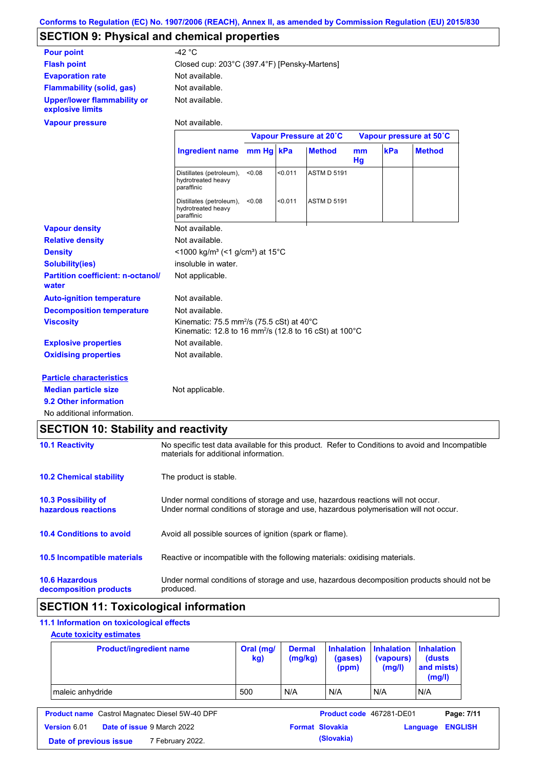# **SECTION 9: Physical and chemical properties**

| <b>Pour point</b>                                      | $-42 °C$                                                                                                                               |           |         |                         |          |     |                         |
|--------------------------------------------------------|----------------------------------------------------------------------------------------------------------------------------------------|-----------|---------|-------------------------|----------|-----|-------------------------|
| <b>Flash point</b>                                     | Closed cup: 203°C (397.4°F) [Pensky-Martens]                                                                                           |           |         |                         |          |     |                         |
| <b>Evaporation rate</b>                                | Not available.                                                                                                                         |           |         |                         |          |     |                         |
| <b>Flammability (solid, gas)</b>                       | Not available.                                                                                                                         |           |         |                         |          |     |                         |
| <b>Upper/lower flammability or</b><br>explosive limits | Not available.                                                                                                                         |           |         |                         |          |     |                         |
| <b>Vapour pressure</b>                                 | Not available.                                                                                                                         |           |         |                         |          |     |                         |
|                                                        |                                                                                                                                        |           |         | Vapour Pressure at 20°C |          |     | Vapour pressure at 50°C |
|                                                        | Ingredient name                                                                                                                        | mm Hg kPa |         | <b>Method</b>           | mm<br>Hg | kPa | <b>Method</b>           |
|                                                        | Distillates (petroleum),<br>hydrotreated heavy<br>paraffinic                                                                           | < 0.08    | < 0.011 | <b>ASTM D 5191</b>      |          |     |                         |
|                                                        | Distillates (petroleum),<br>hydrotreated heavy<br>paraffinic                                                                           | < 0.08    | < 0.011 | <b>ASTM D 5191</b>      |          |     |                         |
| <b>Vapour density</b>                                  | Not available.                                                                                                                         |           |         |                         |          |     |                         |
| <b>Relative density</b>                                | Not available.                                                                                                                         |           |         |                         |          |     |                         |
| <b>Density</b>                                         | <1000 kg/m <sup>3</sup> (<1 g/cm <sup>3</sup> ) at 15°C                                                                                |           |         |                         |          |     |                         |
| <b>Solubility(ies)</b>                                 | insoluble in water.                                                                                                                    |           |         |                         |          |     |                         |
| <b>Partition coefficient: n-octanol/</b><br>water      | Not applicable.                                                                                                                        |           |         |                         |          |     |                         |
| <b>Auto-ignition temperature</b>                       | Not available.                                                                                                                         |           |         |                         |          |     |                         |
| <b>Decomposition temperature</b>                       | Not available.                                                                                                                         |           |         |                         |          |     |                         |
| <b>Viscosity</b>                                       | Kinematic: 75.5 mm <sup>2</sup> /s (75.5 cSt) at 40 $^{\circ}$ C<br>Kinematic: 12.8 to 16 mm <sup>2</sup> /s (12.8 to 16 cSt) at 100°C |           |         |                         |          |     |                         |
| <b>Explosive properties</b>                            | Not available.                                                                                                                         |           |         |                         |          |     |                         |
| <b>Oxidising properties</b>                            | Not available.                                                                                                                         |           |         |                         |          |     |                         |
| <b>Particle characteristics</b>                        |                                                                                                                                        |           |         |                         |          |     |                         |
| <b>Median particle size</b>                            | Not applicable.                                                                                                                        |           |         |                         |          |     |                         |
| 9.2 Other information                                  |                                                                                                                                        |           |         |                         |          |     |                         |
| No additional information.                             |                                                                                                                                        |           |         |                         |          |     |                         |

# **SECTION 10: Stability and reactivity**

| <b>10.1 Reactivity</b>                          | No specific test data available for this product. Refer to Conditions to avoid and Incompatible<br>materials for additional information.                                |
|-------------------------------------------------|-------------------------------------------------------------------------------------------------------------------------------------------------------------------------|
| <b>10.2 Chemical stability</b>                  | The product is stable.                                                                                                                                                  |
| 10.3 Possibility of<br>hazardous reactions      | Under normal conditions of storage and use, hazardous reactions will not occur.<br>Under normal conditions of storage and use, hazardous polymerisation will not occur. |
| <b>10.4 Conditions to avoid</b>                 | Avoid all possible sources of ignition (spark or flame).                                                                                                                |
| 10.5 Incompatible materials                     | Reactive or incompatible with the following materials: oxidising materials.                                                                                             |
| <b>10.6 Hazardous</b><br>decomposition products | Under normal conditions of storage and use, hazardous decomposition products should not be<br>produced.                                                                 |

## **SECTION 11: Toxicological information**

### **11.1 Information on toxicological effects**

### **Acute toxicity estimates**

| <b>Product/ingredient name</b> | Oral (mg/<br>kg) | <b>Dermal</b><br>(mg/kg) | (gases)<br>(ppm) | Inhalation   Inhalation   Inhalation<br>(vapours)<br>(mg/l) | (dusts)<br>and mists)<br>(mg/l) |
|--------------------------------|------------------|--------------------------|------------------|-------------------------------------------------------------|---------------------------------|
| maleic anhydride               | 500              | N/A                      | N/A              | N/A                                                         | N/A                             |

|                        | <b>Product name</b> Castrol Magnatec Diesel 5W-40 DPF | <b>Product code</b> 467281-DE01 |                         | Page: 7/11 |
|------------------------|-------------------------------------------------------|---------------------------------|-------------------------|------------|
| <b>Version 6.01</b>    | <b>Date of issue 9 March 2022</b>                     | <b>Format Slovakia</b>          | <b>Language ENGLISH</b> |            |
| Date of previous issue | 7 February 2022.                                      | (Slovakia)                      |                         |            |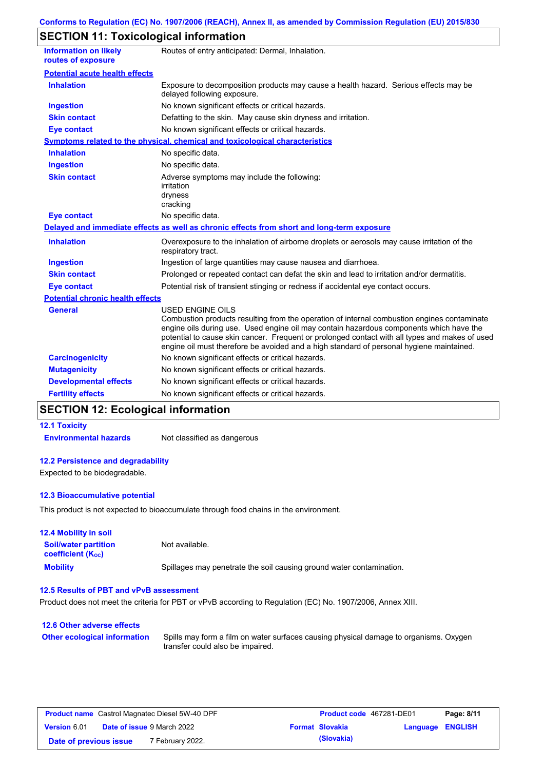## **SECTION 11: Toxicological information**

| <b>Information on likely</b><br>routes of exposure | Routes of entry anticipated: Dermal, Inhalation.                                                                                                                                                                                                                                                                                                                                                                |
|----------------------------------------------------|-----------------------------------------------------------------------------------------------------------------------------------------------------------------------------------------------------------------------------------------------------------------------------------------------------------------------------------------------------------------------------------------------------------------|
| <b>Potential acute health effects</b>              |                                                                                                                                                                                                                                                                                                                                                                                                                 |
| <b>Inhalation</b>                                  | Exposure to decomposition products may cause a health hazard. Serious effects may be<br>delayed following exposure.                                                                                                                                                                                                                                                                                             |
| <b>Ingestion</b>                                   | No known significant effects or critical hazards.                                                                                                                                                                                                                                                                                                                                                               |
| <b>Skin contact</b>                                | Defatting to the skin. May cause skin dryness and irritation.                                                                                                                                                                                                                                                                                                                                                   |
| <b>Eye contact</b>                                 | No known significant effects or critical hazards.                                                                                                                                                                                                                                                                                                                                                               |
|                                                    | <b>Symptoms related to the physical, chemical and toxicological characteristics</b>                                                                                                                                                                                                                                                                                                                             |
| <b>Inhalation</b>                                  | No specific data.                                                                                                                                                                                                                                                                                                                                                                                               |
| <b>Ingestion</b>                                   | No specific data.                                                                                                                                                                                                                                                                                                                                                                                               |
| <b>Skin contact</b>                                | Adverse symptoms may include the following:<br>irritation<br>dryness<br>cracking                                                                                                                                                                                                                                                                                                                                |
| <b>Eye contact</b>                                 | No specific data.                                                                                                                                                                                                                                                                                                                                                                                               |
|                                                    | Delayed and immediate effects as well as chronic effects from short and long-term exposure                                                                                                                                                                                                                                                                                                                      |
| <b>Inhalation</b>                                  | Overexposure to the inhalation of airborne droplets or aerosols may cause irritation of the<br>respiratory tract.                                                                                                                                                                                                                                                                                               |
| <b>Ingestion</b>                                   | Ingestion of large quantities may cause nausea and diarrhoea.                                                                                                                                                                                                                                                                                                                                                   |
| <b>Skin contact</b>                                | Prolonged or repeated contact can defat the skin and lead to irritation and/or dermatitis.                                                                                                                                                                                                                                                                                                                      |
| Eye contact                                        | Potential risk of transient stinging or redness if accidental eye contact occurs.                                                                                                                                                                                                                                                                                                                               |
| <b>Potential chronic health effects</b>            |                                                                                                                                                                                                                                                                                                                                                                                                                 |
| <b>General</b>                                     | <b>USED ENGINE OILS</b><br>Combustion products resulting from the operation of internal combustion engines contaminate<br>engine oils during use. Used engine oil may contain hazardous components which have the<br>potential to cause skin cancer. Frequent or prolonged contact with all types and makes of used<br>engine oil must therefore be avoided and a high standard of personal hygiene maintained. |
| <b>Carcinogenicity</b>                             | No known significant effects or critical hazards.                                                                                                                                                                                                                                                                                                                                                               |
| <b>Mutagenicity</b>                                | No known significant effects or critical hazards.                                                                                                                                                                                                                                                                                                                                                               |
| <b>Developmental effects</b>                       | No known significant effects or critical hazards.                                                                                                                                                                                                                                                                                                                                                               |
| <b>Fertility effects</b>                           | No known significant effects or critical hazards.                                                                                                                                                                                                                                                                                                                                                               |

# **SECTION 12: Ecological information**

### **12.1 Toxicity**

**Environmental hazards** Not classified as dangerous

### **12.2 Persistence and degradability**

Expected to be biodegradable.

#### **12.3 Bioaccumulative potential**

This product is not expected to bioaccumulate through food chains in the environment.

| <b>12.4 Mobility in soil</b>                                  |                                                                      |
|---------------------------------------------------------------|----------------------------------------------------------------------|
| <b>Soil/water partition</b><br>coefficient (K <sub>oc</sub> ) | Not available.                                                       |
| <b>Mobility</b>                                               | Spillages may penetrate the soil causing ground water contamination. |

#### **12.5 Results of PBT and vPvB assessment**

Product does not meet the criteria for PBT or vPvB according to Regulation (EC) No. 1907/2006, Annex XIII.

#### **12.6 Other adverse effects Other ecological information**

Spills may form a film on water surfaces causing physical damage to organisms. Oxygen transfer could also be impaired.

| <b>Product name</b> Castrol Magnatec Diesel 5W-40 DPF |                                   |                             | <b>Product code</b> 467281-DE01 | Page: 8/11             |                  |  |
|-------------------------------------------------------|-----------------------------------|-----------------------------|---------------------------------|------------------------|------------------|--|
| <b>Version 6.01</b>                                   | <b>Date of issue 9 March 2022</b> |                             |                                 | <b>Format Slovakia</b> | Language ENGLISH |  |
| Date of previous issue                                |                                   | <sup>7</sup> February 2022. |                                 | (Slovakia)             |                  |  |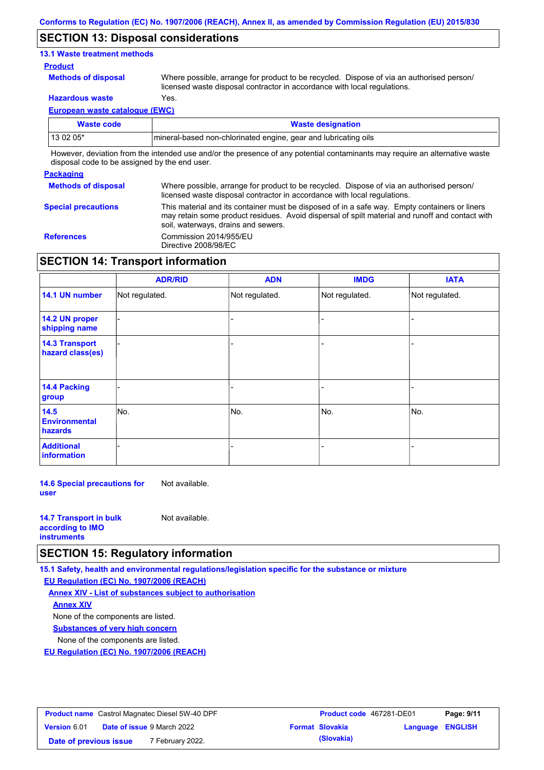### **SECTION 13: Disposal considerations**

#### **13.1 Waste treatment methods**

#### **Product**

**Methods of disposal**

Where possible, arrange for product to be recycled. Dispose of via an authorised person/ licensed waste disposal contractor in accordance with local regulations.

**Hazardous waste** Yes.

**European waste catalogue (EWC)**

| Waste code | <b>Waste designation</b>                                                                                                    |
|------------|-----------------------------------------------------------------------------------------------------------------------------|
| 13 02 05*  | Imineral-based non-chlorinated engine, gear and lubricating oils                                                            |
|            | However, deviation from the intended use and/or the presence of any potential contaminants may require an alternative waste |

disposal code to be assigned by the end user.

#### **Packaging**

| <b>Methods of disposal</b> | Where possible, arrange for product to be recycled. Dispose of via an authorised person/<br>licensed waste disposal contractor in accordance with local regulations.                                                                    |
|----------------------------|-----------------------------------------------------------------------------------------------------------------------------------------------------------------------------------------------------------------------------------------|
| <b>Special precautions</b> | This material and its container must be disposed of in a safe way. Empty containers or liners<br>may retain some product residues. Avoid dispersal of spilt material and runoff and contact with<br>soil, waterways, drains and sewers. |
| <b>References</b>          | Commission 2014/955/EU<br>Directive 2008/98/EC                                                                                                                                                                                          |

### **SECTION 14: Transport information**

|                                           | <b>ADR/RID</b> | <b>ADN</b>     | <b>IMDG</b>    | <b>IATA</b>    |
|-------------------------------------------|----------------|----------------|----------------|----------------|
| 14.1 UN number                            | Not regulated. | Not regulated. | Not regulated. | Not regulated. |
| 14.2 UN proper<br>shipping name           |                |                |                |                |
| <b>14.3 Transport</b><br>hazard class(es) |                |                |                |                |
| 14.4 Packing<br>group                     |                |                |                |                |
| 14.5<br><b>Environmental</b><br>hazards   | No.            | No.            | No.            | No.            |
| <b>Additional</b><br>information          |                |                |                |                |

**14.6 Special precautions for user** Not available.

| <b>14.7 Transport in bulk</b> | Not available. |
|-------------------------------|----------------|
| according to <b>IMO</b>       |                |
| <b>instruments</b>            |                |

### **SECTION 15: Regulatory information**

**15.1 Safety, health and environmental regulations/legislation specific for the substance or mixture**

**EU Regulation (EC) No. 1907/2006 (REACH)**

**Annex XIV - List of substances subject to authorisation Substances of very high concern** None of the components are listed. None of the components are listed. **Annex XIV**

**EU Regulation (EC) No. 1907/2006 (REACH)**

| <b>Product name</b> Castrol Magnatec Diesel 5W-40 DPF |  |                                   | Product code 467281-DE01 |                        | Page: 9/11              |  |
|-------------------------------------------------------|--|-----------------------------------|--------------------------|------------------------|-------------------------|--|
| <b>Version 6.01</b>                                   |  | <b>Date of issue 9 March 2022</b> |                          | <b>Format Slovakia</b> | <b>Language ENGLISH</b> |  |
| Date of previous issue                                |  | 7 February 2022.                  |                          | (Slovakia)             |                         |  |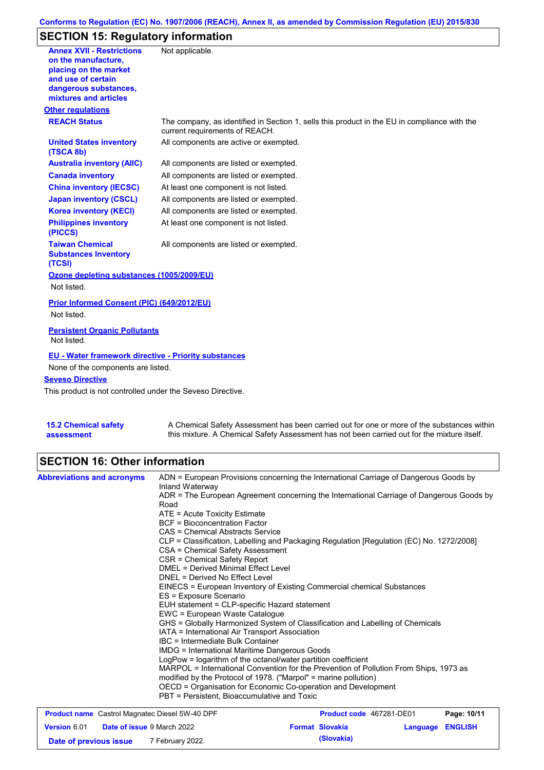### **Conforms to Regulation (EC) No. 1907/2006 (REACH), Annex II, as amended by Commission Regulation (EU) 2015/830**

## **SECTION 15: Regulatory information**

| <b>Annex XVII - Restrictions</b><br>on the manufacture.<br>placing on the market<br>and use of certain<br>dangerous substances,<br>mixtures and articles | Not applicable.                                                                                                                |
|----------------------------------------------------------------------------------------------------------------------------------------------------------|--------------------------------------------------------------------------------------------------------------------------------|
| <b>Other regulations</b>                                                                                                                                 |                                                                                                                                |
| <b>REACH Status</b>                                                                                                                                      | The company, as identified in Section 1, sells this product in the EU in compliance with the<br>current requirements of REACH. |
| <b>United States inventory</b><br>(TSCA 8b)                                                                                                              | All components are active or exempted.                                                                                         |
| <b>Australia inventory (AIIC)</b>                                                                                                                        | All components are listed or exempted.                                                                                         |
| <b>Canada inventory</b>                                                                                                                                  | All components are listed or exempted.                                                                                         |
| <b>China inventory (IECSC)</b>                                                                                                                           | At least one component is not listed.                                                                                          |
| <b>Japan inventory (CSCL)</b>                                                                                                                            | All components are listed or exempted.                                                                                         |
| <b>Korea inventory (KECI)</b>                                                                                                                            | All components are listed or exempted.                                                                                         |
| <b>Philippines inventory</b><br>(PICCS)                                                                                                                  | At least one component is not listed.                                                                                          |
| <b>Taiwan Chemical</b><br><b>Substances Inventory</b><br>(TCSI)                                                                                          | All components are listed or exempted.                                                                                         |
| Ozone depleting substances (1005/2009/EU)                                                                                                                |                                                                                                                                |
| Not listed.                                                                                                                                              |                                                                                                                                |
| Prior Informed Consent (PIC) (649/2012/EU)                                                                                                               |                                                                                                                                |
| Not listed.                                                                                                                                              |                                                                                                                                |
| <b>Persistent Organic Pollutants</b><br>Not listed.                                                                                                      |                                                                                                                                |
| <b>EU - Water framework directive - Priority substances</b><br>None of the components are listed.                                                        |                                                                                                                                |
| <b>Seveso Directive</b>                                                                                                                                  |                                                                                                                                |
| This product is not controlled under the Seveso Directive.                                                                                               |                                                                                                                                |
|                                                                                                                                                          |                                                                                                                                |

**15.2 Chemical safety assessment** A Chemical Safety Assessment has been carried out for one or more of the substances within this mixture. A Chemical Safety Assessment has not been carried out for the mixture itself.

**Date of previous issue (Slovakia)** 7 February 2022.

### **SECTION 16: Other information**

| <b>Abbreviations and acronyms</b>                     | ADN = European Provisions concerning the International Carriage of Dangerous Goods by<br>Inland Waterway                                                                                                                                                                                               |                          |                         |             |  |  |  |  |                                                                                          |  |  |  |
|-------------------------------------------------------|--------------------------------------------------------------------------------------------------------------------------------------------------------------------------------------------------------------------------------------------------------------------------------------------------------|--------------------------|-------------------------|-------------|--|--|--|--|------------------------------------------------------------------------------------------|--|--|--|
|                                                       | ADR = The European Agreement concerning the International Carriage of Dangerous Goods by<br>Road<br>$ATE =$ Acute Toxicity Estimate<br>BCF = Bioconcentration Factor                                                                                                                                   |                          |                         |             |  |  |  |  |                                                                                          |  |  |  |
|                                                       |                                                                                                                                                                                                                                                                                                        |                          |                         |             |  |  |  |  | CAS = Chemical Abstracts Service                                                         |  |  |  |
|                                                       |                                                                                                                                                                                                                                                                                                        |                          |                         |             |  |  |  |  | CLP = Classification, Labelling and Packaging Regulation [Regulation (EC) No. 1272/2008] |  |  |  |
|                                                       | CSA = Chemical Safety Assessment                                                                                                                                                                                                                                                                       |                          |                         |             |  |  |  |  |                                                                                          |  |  |  |
|                                                       | CSR = Chemical Safety Report                                                                                                                                                                                                                                                                           |                          |                         |             |  |  |  |  |                                                                                          |  |  |  |
|                                                       | <b>DMEL = Derived Minimal Effect Level</b>                                                                                                                                                                                                                                                             |                          |                         |             |  |  |  |  |                                                                                          |  |  |  |
|                                                       | DNEL = Derived No Effect Level<br>EINECS = European Inventory of Existing Commercial chemical Substances<br>ES = Exposure Scenario<br>EUH statement = CLP-specific Hazard statement<br>EWC = European Waste Catalogue<br>GHS = Globally Harmonized System of Classification and Labelling of Chemicals |                          |                         |             |  |  |  |  |                                                                                          |  |  |  |
|                                                       |                                                                                                                                                                                                                                                                                                        |                          |                         |             |  |  |  |  |                                                                                          |  |  |  |
|                                                       |                                                                                                                                                                                                                                                                                                        |                          |                         |             |  |  |  |  |                                                                                          |  |  |  |
|                                                       |                                                                                                                                                                                                                                                                                                        |                          |                         |             |  |  |  |  |                                                                                          |  |  |  |
|                                                       |                                                                                                                                                                                                                                                                                                        |                          |                         |             |  |  |  |  |                                                                                          |  |  |  |
|                                                       |                                                                                                                                                                                                                                                                                                        |                          |                         |             |  |  |  |  |                                                                                          |  |  |  |
|                                                       | IATA = International Air Transport Association<br>IBC = Intermediate Bulk Container<br>IMDG = International Maritime Dangerous Goods                                                                                                                                                                   |                          |                         |             |  |  |  |  |                                                                                          |  |  |  |
|                                                       |                                                                                                                                                                                                                                                                                                        |                          |                         |             |  |  |  |  |                                                                                          |  |  |  |
|                                                       |                                                                                                                                                                                                                                                                                                        |                          |                         |             |  |  |  |  |                                                                                          |  |  |  |
|                                                       | LogPow = logarithm of the octanol/water partition coefficient<br>MARPOL = International Convention for the Prevention of Pollution From Ships, 1973 as                                                                                                                                                 |                          |                         |             |  |  |  |  |                                                                                          |  |  |  |
|                                                       |                                                                                                                                                                                                                                                                                                        |                          |                         |             |  |  |  |  |                                                                                          |  |  |  |
|                                                       | modified by the Protocol of 1978. ("Marpol" = marine pollution)<br>OECD = Organisation for Economic Co-operation and Development                                                                                                                                                                       |                          |                         |             |  |  |  |  |                                                                                          |  |  |  |
|                                                       | PBT = Persistent. Bioaccumulative and Toxic                                                                                                                                                                                                                                                            |                          |                         |             |  |  |  |  |                                                                                          |  |  |  |
|                                                       |                                                                                                                                                                                                                                                                                                        |                          |                         |             |  |  |  |  |                                                                                          |  |  |  |
| <b>Product name</b> Castrol Magnatec Diesel 5W-40 DPF |                                                                                                                                                                                                                                                                                                        | Product code 467281-DE01 |                         | Page: 10/11 |  |  |  |  |                                                                                          |  |  |  |
| Date of issue 9 March 2022<br><b>Version 6.01</b>     |                                                                                                                                                                                                                                                                                                        | <b>Format Slovakia</b>   | <b>Language ENGLISH</b> |             |  |  |  |  |                                                                                          |  |  |  |